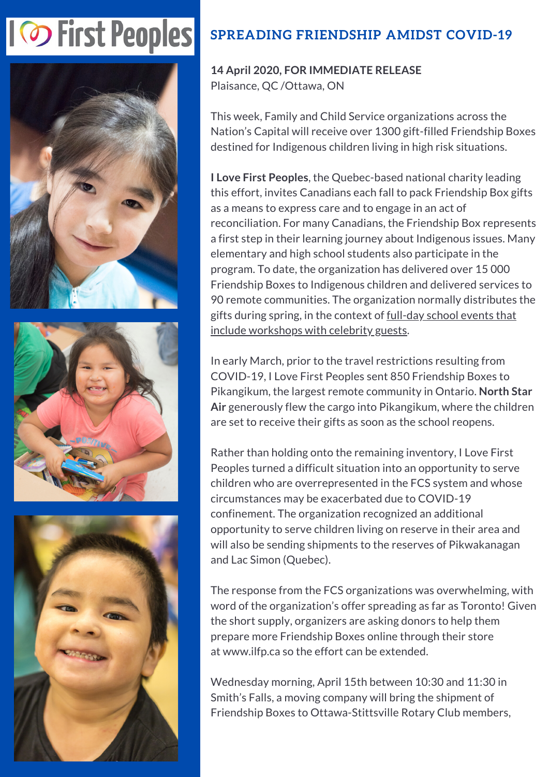# **I**  $\odot$  First Peoples







## **SPREADING FRIENDSHIP AMIDST COVID-19**

#### **14 April 2020, FOR IMMEDIATE RELEASE** Plaisance, QC /Ottawa, ON

This week, Family and Child Service organizations across the Nation's Capital will receive over 1300 gift-filled Friendship Boxes destined for Indigenous children living in high risk situations.

**I Love First [Peoples](http://www.ilfp.ca/)**, the Quebec-based national charity leading this effort, invites Canadians each fall to pack Friendship Box gifts as a means to express care and to engage in an act of reconciliation. For many Canadians, the Friendship Box represents a first step in their learning journey about Indigenous issues. Many elementary and high school students also participate in the program. To date, the organization has delivered over 15 000 Friendship Boxes to Indigenous children and delivered services to 90 remote communities. The organization normally distributes the gifts during spring, in the context of full-day school events that include [workshops](https://youtu.be/Myv6ryEA4f8) with celebrity guests.

In early March, prior to the travel restrictions resulting from COVID-19, I Love First Peoples sent 850 Friendship Boxes to Pikangikum, the largest remote community in Ontario. **North Star Air** generously flew the cargo into [Pikangikum,](http://www.northstarair.ca/) where the children are set to receive their gifts as soon as the school reopens.

Rather than holding onto the remaining inventory, I Love First Peoples turned a difficult situation into an opportunity to serve children who are overrepresented in the FCS system and whose circumstances may be exacerbated due to COVID-19 confinement. The organization recognized an additional opportunity to serve children living on reserve in their area and will also be sending shipments to the reserves of Pikwakanagan and Lac Simon (Quebec).

The response from the FCS organizations was overwhelming, with word of the organization's offer spreading as far as Toronto! Given the short supply, organizers are asking donors to help them prepare more Friendship Boxes online through their store at www.ilfp.ca so the effort can be extended.

Wednesday morning, April 15th between 10:30 and 11:30 in Smith's Falls, a moving company will bring the shipment of Friendship Boxes to Ottawa-Stittsville Rotary Club members,